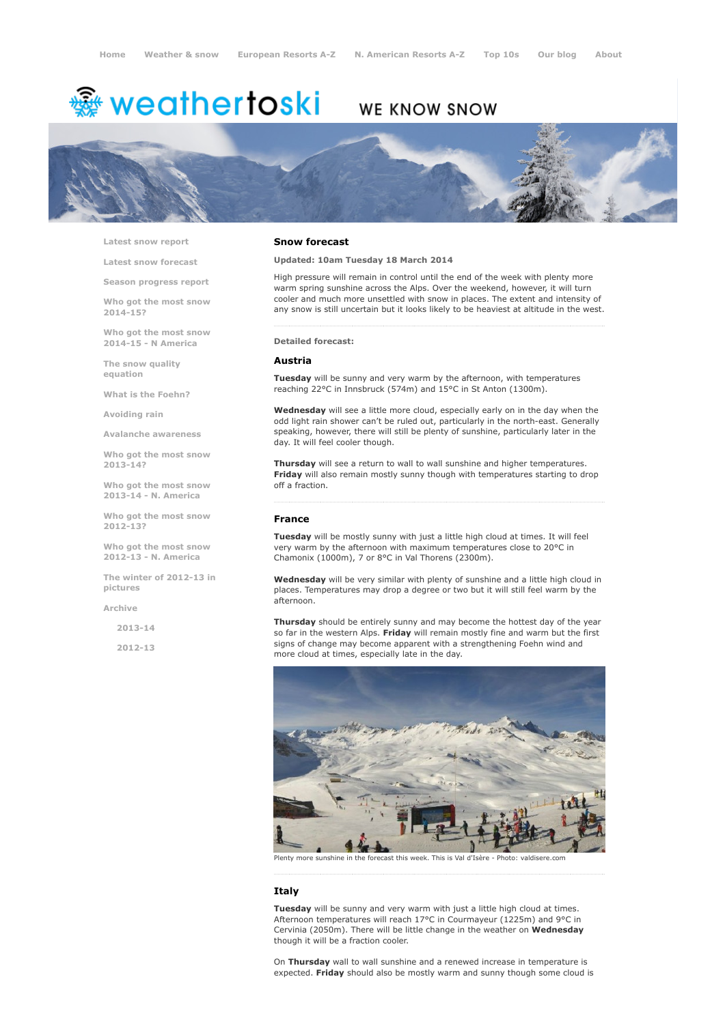# $*$  weathertoski

# WE KNOW SNOW



Latest snow [report](http://www.weathertoski.co.uk/weather-snow/latest-snow-report/)

Latest snow [forecast](http://www.weathertoski.co.uk/weather-snow/latest-snow-forecast/)

Season [progress](http://www.weathertoski.co.uk/weather-snow/season-progress-report/) report

Who got the most snow 2014-15?

Who got the most snow 2014-15 - N America

The snow quality [equation](http://www.weathertoski.co.uk/weather-snow/the-snow-quality-equation/)

What is the [Foehn?](http://www.weathertoski.co.uk/weather-snow/what-is-the-foehn/)

[Avoiding](http://www.weathertoski.co.uk/weather-snow/avoiding-rain/) rain

Avalanche [awareness](http://www.weathertoski.co.uk/weather-snow/avalanche-awareness/)

Who got the most snow 2013-14?

Who got the most snow 2013-14 - N. America

Who got the most snow 2012-13?

Who got the most snow 2012-13 - N. America

The winter of 2012-13 in pictures

[Archive](http://www.weathertoski.co.uk/weather-snow/archive/)

2013-14

2012-13

#### Snow forecast

#### Updated: 10am Tuesday 18 March 2014

High pressure will remain in control until the end of the week with plenty more warm spring sunshine across the Alps. Over the weekend, however, it will turn cooler and much more unsettled with snow in places. The extent and intensity of any snow is still uncertain but it looks likely to be heaviest at altitude in the west.

#### Detailed forecast:

#### Austria

Tuesday will be sunny and very warm by the afternoon, with temperatures reaching 22°C in Innsbruck (574m) and 15°C in St Anton (1300m).

Wednesday will see a little more cloud, especially early on in the day when the odd light rain shower can't be ruled out, particularly in the north-east. Generally speaking, however, there will still be plenty of sunshine, particularly later in the day. It will feel cooler though.

Thursday will see a return to wall to wall sunshine and higher temperatures. Friday will also remain mostly sunny though with temperatures starting to drop off a fraction.

# France

Tuesday will be mostly sunny with just a little high cloud at times. It will feel very warm by the afternoon with maximum temperatures close to 20°C in Chamonix (1000m), 7 or 8°C in Val Thorens (2300m).

Wednesday will be very similar with plenty of sunshine and a little high cloud in places. Temperatures may drop a degree or two but it will still feel warm by the afternoon.

**Thursday** should be entirely sunny and may become the hottest day of the year so far in the western Alps. Friday will remain mostly fine and warm but the first signs of change may become apparent with a strengthening Foehn wind and more cloud at times, especially late in the day.



Plenty more sunshine in the forecast this week. This is Val d'Isère

# Italy

Tuesday will be sunny and very warm with just a little high cloud at times. Afternoon temperatures will reach 17°C in Courmayeur (1225m) and 9°C in Cervinia (2050m). There will be little change in the weather on Wednesday though it will be a fraction cooler.

On Thursday wall to wall sunshine and a renewed increase in temperature is expected. Friday should also be mostly warm and sunny though some cloud is